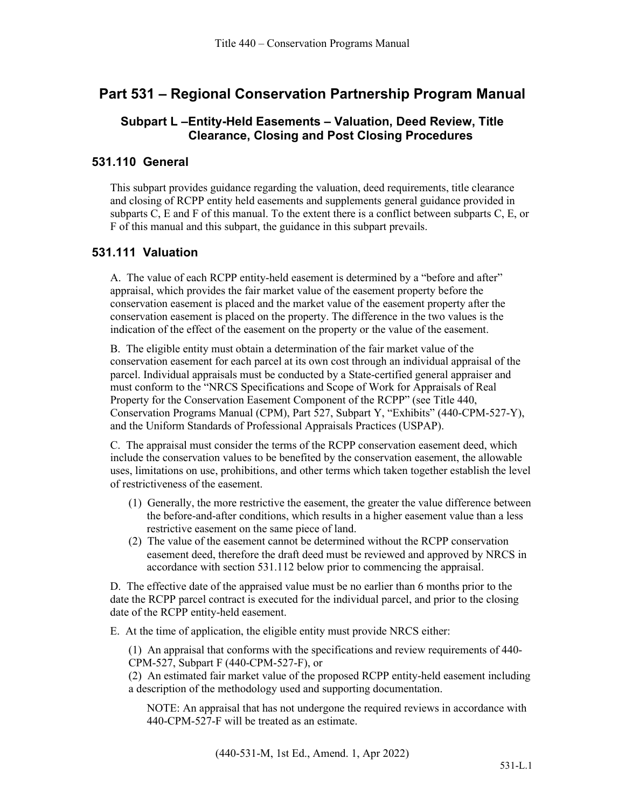# **Part 531 – Regional Conservation Partnership Program Manual**

# **Subpart L –Entity-Held Easements – Valuation, Deed Review, Title Clearance, Closing and Post Closing Procedures**

### **531.110 General**

This subpart provides guidance regarding the valuation, deed requirements, title clearance and closing of RCPP entity held easements and supplements general guidance provided in subparts C, E and F of this manual. To the extent there is a conflict between subparts C, E, or F of this manual and this subpart, the guidance in this subpart prevails.

#### **531.111 Valuation**

A. The value of each RCPP entity-held easement is determined by a "before and after" appraisal, which provides the fair market value of the easement property before the conservation easement is placed and the market value of the easement property after the conservation easement is placed on the property. The difference in the two values is the indication of the effect of the easement on the property or the value of the easement.

B. The eligible entity must obtain a determination of the fair market value of the conservation easement for each parcel at its own cost through an individual appraisal of the parcel. Individual appraisals must be conducted by a State-certified general appraiser and must conform to the "NRCS Specifications and Scope of Work for Appraisals of Real Property for the Conservation Easement Component of the RCPP" (see Title 440, Conservation Programs Manual (CPM), Part 527, Subpart Y, "Exhibits" (440-CPM-527-Y), and the Uniform Standards of Professional Appraisals Practices (USPAP).

C. The appraisal must consider the terms of the RCPP conservation easement deed, which include the conservation values to be benefited by the conservation easement, the allowable uses, limitations on use, prohibitions, and other terms which taken together establish the level of restrictiveness of the easement.

- (1) Generally, the more restrictive the easement, the greater the value difference between the before-and-after conditions, which results in a higher easement value than a less restrictive easement on the same piece of land.
- (2) The value of the easement cannot be determined without the RCPP conservation easement deed, therefore the draft deed must be reviewed and approved by NRCS in accordance with section 531.112 below prior to commencing the appraisal.

D. The effective date of the appraised value must be no earlier than 6 months prior to the date the RCPP parcel contract is executed for the individual parcel, and prior to the closing date of the RCPP entity-held easement.

E. At the time of application, the eligible entity must provide NRCS either:

(1) An appraisal that conforms with the specifications and review requirements of 440- CPM-527, Subpart F (440-CPM-527-F), or

(2) An estimated fair market value of the proposed RCPP entity-held easement including a description of the methodology used and supporting documentation.

NOTE: An appraisal that has not undergone the required reviews in accordance with 440-CPM-527-F will be treated as an estimate.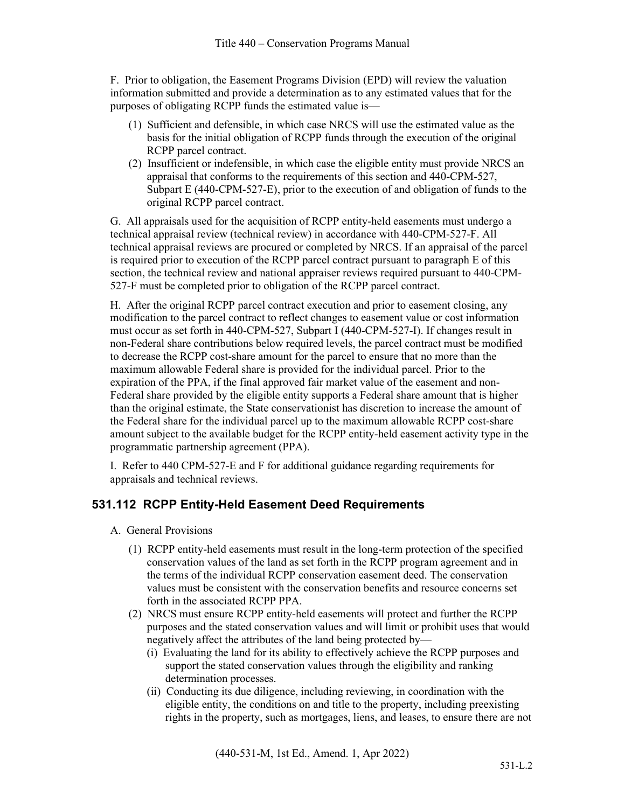F. Prior to obligation, the Easement Programs Division (EPD) will review the valuation information submitted and provide a determination as to any estimated values that for the purposes of obligating RCPP funds the estimated value is—

- (1) Sufficient and defensible, in which case NRCS will use the estimated value as the basis for the initial obligation of RCPP funds through the execution of the original RCPP parcel contract.
- (2) Insufficient or indefensible, in which case the eligible entity must provide NRCS an appraisal that conforms to the requirements of this section and 440-CPM-527, Subpart E (440-CPM-527-E), prior to the execution of and obligation of funds to the original RCPP parcel contract.

G. All appraisals used for the acquisition of RCPP entity-held easements must undergo a technical appraisal review (technical review) in accordance with 440-CPM-527-F. All technical appraisal reviews are procured or completed by NRCS. If an appraisal of the parcel is required prior to execution of the RCPP parcel contract pursuant to paragraph E of this section, the technical review and national appraiser reviews required pursuant to 440-CPM-527-F must be completed prior to obligation of the RCPP parcel contract.

H. After the original RCPP parcel contract execution and prior to easement closing, any modification to the parcel contract to reflect changes to easement value or cost information must occur as set forth in 440-CPM-527, Subpart I (440-CPM-527-I). If changes result in non-Federal share contributions below required levels, the parcel contract must be modified to decrease the RCPP cost-share amount for the parcel to ensure that no more than the maximum allowable Federal share is provided for the individual parcel. Prior to the expiration of the PPA, if the final approved fair market value of the easement and non-Federal share provided by the eligible entity supports a Federal share amount that is higher than the original estimate, the State conservationist has discretion to increase the amount of the Federal share for the individual parcel up to the maximum allowable RCPP cost-share amount subject to the available budget for the RCPP entity-held easement activity type in the programmatic partnership agreement (PPA).

I. Refer to 440 CPM-527-E and F for additional guidance regarding requirements for appraisals and technical reviews.

# **531.112 RCPP Entity-Held Easement Deed Requirements**

- A. General Provisions
	- (1) RCPP entity-held easements must result in the long-term protection of the specified conservation values of the land as set forth in the RCPP program agreement and in the terms of the individual RCPP conservation easement deed. The conservation values must be consistent with the conservation benefits and resource concerns set forth in the associated RCPP PPA.
	- (2) NRCS must ensure RCPP entity-held easements will protect and further the RCPP purposes and the stated conservation values and will limit or prohibit uses that would negatively affect the attributes of the land being protected by—
		- (i) Evaluating the land for its ability to effectively achieve the RCPP purposes and support the stated conservation values through the eligibility and ranking determination processes.
		- (ii) Conducting its due diligence, including reviewing, in coordination with the eligible entity, the conditions on and title to the property, including preexisting rights in the property, such as mortgages, liens, and leases, to ensure there are not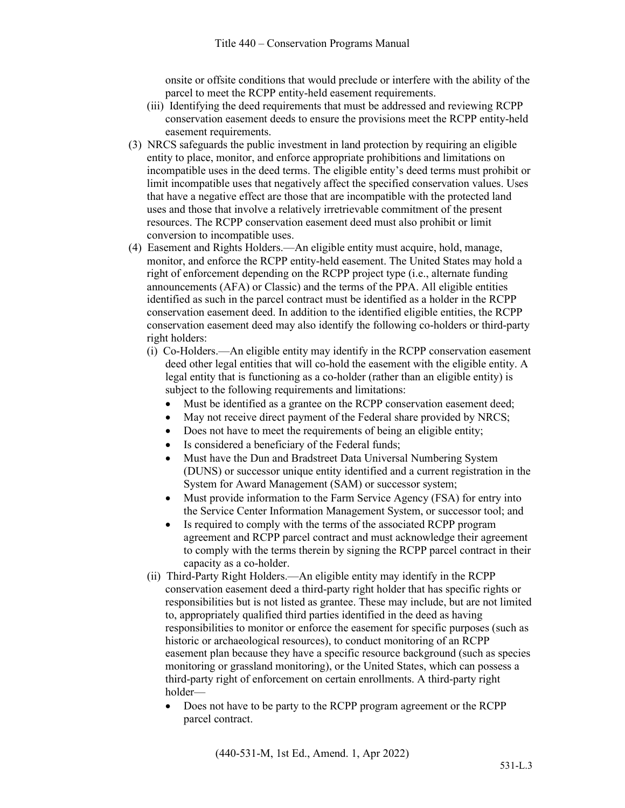onsite or offsite conditions that would preclude or interfere with the ability of the parcel to meet the RCPP entity-held easement requirements.

- (iii) Identifying the deed requirements that must be addressed and reviewing RCPP conservation easement deeds to ensure the provisions meet the RCPP entity-held easement requirements.
- (3) NRCS safeguards the public investment in land protection by requiring an eligible entity to place, monitor, and enforce appropriate prohibitions and limitations on incompatible uses in the deed terms. The eligible entity's deed terms must prohibit or limit incompatible uses that negatively affect the specified conservation values. Uses that have a negative effect are those that are incompatible with the protected land uses and those that involve a relatively irretrievable commitment of the present resources. The RCPP conservation easement deed must also prohibit or limit conversion to incompatible uses.
- (4) Easement and Rights Holders.—An eligible entity must acquire, hold, manage, monitor, and enforce the RCPP entity-held easement. The United States may hold a right of enforcement depending on the RCPP project type (i.e., alternate funding announcements (AFA) or Classic) and the terms of the PPA. All eligible entities identified as such in the parcel contract must be identified as a holder in the RCPP conservation easement deed. In addition to the identified eligible entities, the RCPP conservation easement deed may also identify the following co-holders or third-party right holders:
	- (i) Co-Holders.—An eligible entity may identify in the RCPP conservation easement deed other legal entities that will co-hold the easement with the eligible entity. A legal entity that is functioning as a co-holder (rather than an eligible entity) is subject to the following requirements and limitations:
		- Must be identified as a grantee on the RCPP conservation easement deed;
		- May not receive direct payment of the Federal share provided by NRCS;
		- Does not have to meet the requirements of being an eligible entity;
		- Is considered a beneficiary of the Federal funds;
		- Must have the Dun and Bradstreet Data Universal Numbering System (DUNS) or successor unique entity identified and a current registration in the System for Award Management (SAM) or successor system;
		- Must provide information to the Farm Service Agency (FSA) for entry into the Service Center Information Management System, or successor tool; and
		- Is required to comply with the terms of the associated RCPP program agreement and RCPP parcel contract and must acknowledge their agreement to comply with the terms therein by signing the RCPP parcel contract in their capacity as a co-holder.
	- (ii) Third-Party Right Holders.—An eligible entity may identify in the RCPP conservation easement deed a third-party right holder that has specific rights or responsibilities but is not listed as grantee. These may include, but are not limited to, appropriately qualified third parties identified in the deed as having responsibilities to monitor or enforce the easement for specific purposes (such as historic or archaeological resources), to conduct monitoring of an RCPP easement plan because they have a specific resource background (such as species monitoring or grassland monitoring), or the United States, which can possess a third-party right of enforcement on certain enrollments. A third-party right holder—
		- Does not have to be party to the RCPP program agreement or the RCPP parcel contract.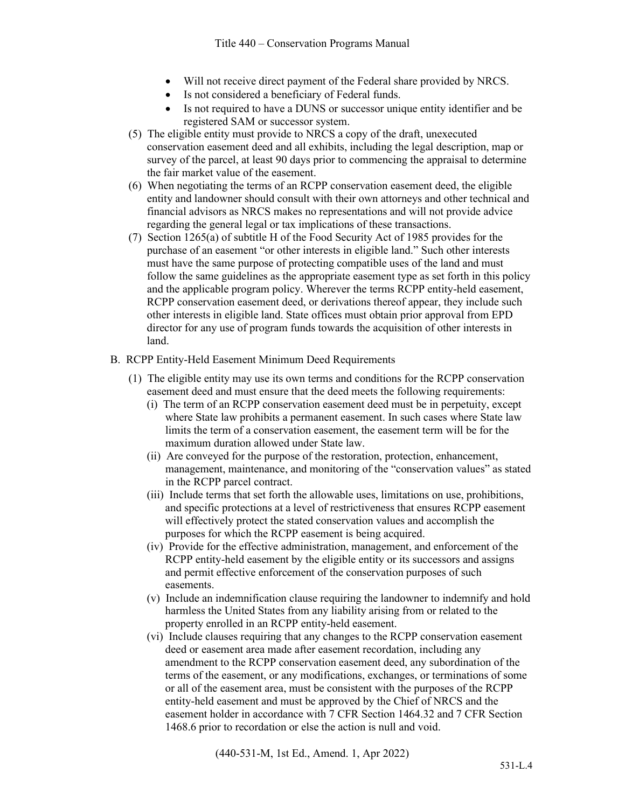- Will not receive direct payment of the Federal share provided by NRCS.
- Is not considered a beneficiary of Federal funds.
- Is not required to have a DUNS or successor unique entity identifier and be registered SAM or successor system.
- (5) The eligible entity must provide to NRCS a copy of the draft, unexecuted conservation easement deed and all exhibits, including the legal description, map or survey of the parcel, at least 90 days prior to commencing the appraisal to determine the fair market value of the easement.
- (6) When negotiating the terms of an RCPP conservation easement deed, the eligible entity and landowner should consult with their own attorneys and other technical and financial advisors as NRCS makes no representations and will not provide advice regarding the general legal or tax implications of these transactions.
- (7) Section 1265(a) of subtitle H of the Food Security Act of 1985 provides for the purchase of an easement "or other interests in eligible land." Such other interests must have the same purpose of protecting compatible uses of the land and must follow the same guidelines as the appropriate easement type as set forth in this policy and the applicable program policy. Wherever the terms RCPP entity-held easement, RCPP conservation easement deed, or derivations thereof appear, they include such other interests in eligible land. State offices must obtain prior approval from EPD director for any use of program funds towards the acquisition of other interests in land.
- B. RCPP Entity-Held Easement Minimum Deed Requirements
	- (1) The eligible entity may use its own terms and conditions for the RCPP conservation easement deed and must ensure that the deed meets the following requirements:
		- (i) The term of an RCPP conservation easement deed must be in perpetuity, except where State law prohibits a permanent easement. In such cases where State law limits the term of a conservation easement, the easement term will be for the maximum duration allowed under State law.
		- (ii) Are conveyed for the purpose of the restoration, protection, enhancement, management, maintenance, and monitoring of the "conservation values" as stated in the RCPP parcel contract.
		- (iii) Include terms that set forth the allowable uses, limitations on use, prohibitions, and specific protections at a level of restrictiveness that ensures RCPP easement will effectively protect the stated conservation values and accomplish the purposes for which the RCPP easement is being acquired.
		- (iv) Provide for the effective administration, management, and enforcement of the RCPP entity-held easement by the eligible entity or its successors and assigns and permit effective enforcement of the conservation purposes of such easements.
		- (v) Include an indemnification clause requiring the landowner to indemnify and hold harmless the United States from any liability arising from or related to the property enrolled in an RCPP entity-held easement.
		- (vi) Include clauses requiring that any changes to the RCPP conservation easement deed or easement area made after easement recordation, including any amendment to the RCPP conservation easement deed, any subordination of the terms of the easement, or any modifications, exchanges, or terminations of some or all of the easement area, must be consistent with the purposes of the RCPP entity-held easement and must be approved by the Chief of NRCS and the easement holder in accordance with 7 CFR Section 1464.32 and 7 CFR Section 1468.6 prior to recordation or else the action is null and void.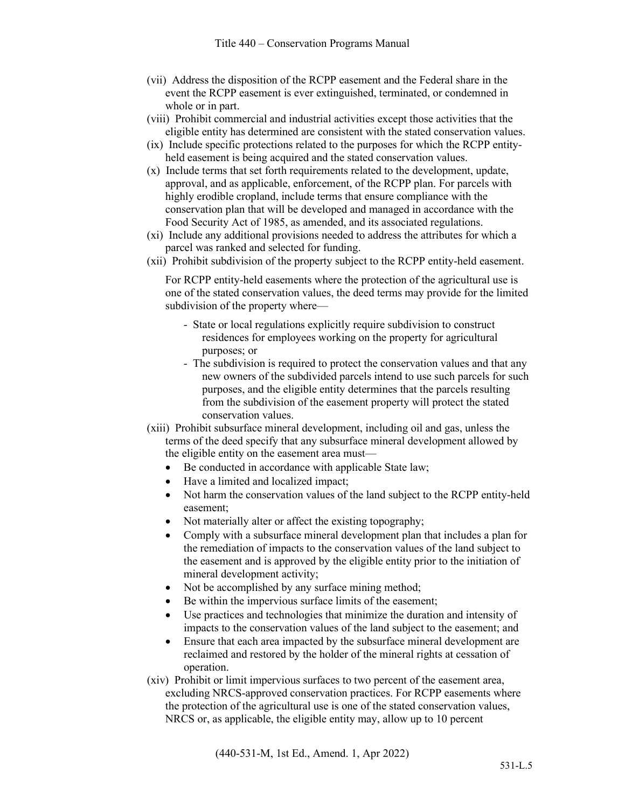- (vii) Address the disposition of the RCPP easement and the Federal share in the event the RCPP easement is ever extinguished, terminated, or condemned in whole or in part.
- (viii) Prohibit commercial and industrial activities except those activities that the eligible entity has determined are consistent with the stated conservation values.
- (ix) Include specific protections related to the purposes for which the RCPP entityheld easement is being acquired and the stated conservation values.
- (x) Include terms that set forth requirements related to the development, update, approval, and as applicable, enforcement, of the RCPP plan. For parcels with highly erodible cropland, include terms that ensure compliance with the conservation plan that will be developed and managed in accordance with the Food Security Act of 1985, as amended, and its associated regulations.
- (xi) Include any additional provisions needed to address the attributes for which a parcel was ranked and selected for funding.
- (xii) Prohibit subdivision of the property subject to the RCPP entity-held easement.

For RCPP entity-held easements where the protection of the agricultural use is one of the stated conservation values, the deed terms may provide for the limited subdivision of the property where—

- State or local regulations explicitly require subdivision to construct residences for employees working on the property for agricultural purposes; or
- The subdivision is required to protect the conservation values and that any new owners of the subdivided parcels intend to use such parcels for such purposes, and the eligible entity determines that the parcels resulting from the subdivision of the easement property will protect the stated conservation values.
- (xiii) Prohibit subsurface mineral development, including oil and gas, unless the terms of the deed specify that any subsurface mineral development allowed by the eligible entity on the easement area must—
	- Be conducted in accordance with applicable State law;
	- Have a limited and localized impact;
	- Not harm the conservation values of the land subject to the RCPP entity-held easement;
	- Not materially alter or affect the existing topography;
	- Comply with a subsurface mineral development plan that includes a plan for the remediation of impacts to the conservation values of the land subject to the easement and is approved by the eligible entity prior to the initiation of mineral development activity;
	- Not be accomplished by any surface mining method;
	- Be within the impervious surface limits of the easement;
	- Use practices and technologies that minimize the duration and intensity of impacts to the conservation values of the land subject to the easement; and
	- Ensure that each area impacted by the subsurface mineral development are reclaimed and restored by the holder of the mineral rights at cessation of operation.
- (xiv) Prohibit or limit impervious surfaces to two percent of the easement area, excluding NRCS-approved conservation practices. For RCPP easements where the protection of the agricultural use is one of the stated conservation values, NRCS or, as applicable, the eligible entity may, allow up to 10 percent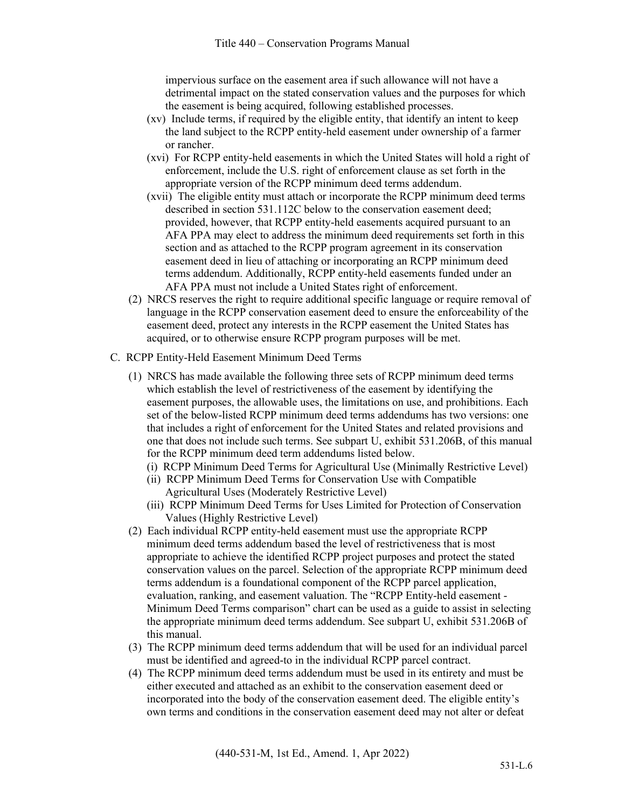impervious surface on the easement area if such allowance will not have a detrimental impact on the stated conservation values and the purposes for which the easement is being acquired, following established processes.

- (xv) Include terms, if required by the eligible entity, that identify an intent to keep the land subject to the RCPP entity-held easement under ownership of a farmer or rancher.
- (xvi) For RCPP entity-held easements in which the United States will hold a right of enforcement, include the U.S. right of enforcement clause as set forth in the appropriate version of the RCPP minimum deed terms addendum.
- (xvii) The eligible entity must attach or incorporate the RCPP minimum deed terms described in section 531.112C below to the conservation easement deed; provided, however, that RCPP entity-held easements acquired pursuant to an AFA PPA may elect to address the minimum deed requirements set forth in this section and as attached to the RCPP program agreement in its conservation easement deed in lieu of attaching or incorporating an RCPP minimum deed terms addendum. Additionally, RCPP entity-held easements funded under an AFA PPA must not include a United States right of enforcement.
- (2) NRCS reserves the right to require additional specific language or require removal of language in the RCPP conservation easement deed to ensure the enforceability of the easement deed, protect any interests in the RCPP easement the United States has acquired, or to otherwise ensure RCPP program purposes will be met.
- C. RCPP Entity-Held Easement Minimum Deed Terms
	- (1) NRCS has made available the following three sets of RCPP minimum deed terms which establish the level of restrictiveness of the easement by identifying the easement purposes, the allowable uses, the limitations on use, and prohibitions. Each set of the below-listed RCPP minimum deed terms addendums has two versions: one that includes a right of enforcement for the United States and related provisions and one that does not include such terms. See subpart U, exhibit 531.206B, of this manual for the RCPP minimum deed term addendums listed below.
		- (i) RCPP Minimum Deed Terms for Agricultural Use (Minimally Restrictive Level)
		- (ii) RCPP Minimum Deed Terms for Conservation Use with Compatible Agricultural Uses (Moderately Restrictive Level)
		- (iii) RCPP Minimum Deed Terms for Uses Limited for Protection of Conservation Values (Highly Restrictive Level)
	- (2) Each individual RCPP entity-held easement must use the appropriate RCPP minimum deed terms addendum based the level of restrictiveness that is most appropriate to achieve the identified RCPP project purposes and protect the stated conservation values on the parcel. Selection of the appropriate RCPP minimum deed terms addendum is a foundational component of the RCPP parcel application, evaluation, ranking, and easement valuation. The "RCPP Entity-held easement - Minimum Deed Terms comparison" chart can be used as a guide to assist in selecting the appropriate minimum deed terms addendum. See subpart U, exhibit 531.206B of this manual.
	- (3) The RCPP minimum deed terms addendum that will be used for an individual parcel must be identified and agreed-to in the individual RCPP parcel contract.
	- (4) The RCPP minimum deed terms addendum must be used in its entirety and must be either executed and attached as an exhibit to the conservation easement deed or incorporated into the body of the conservation easement deed. The eligible entity's own terms and conditions in the conservation easement deed may not alter or defeat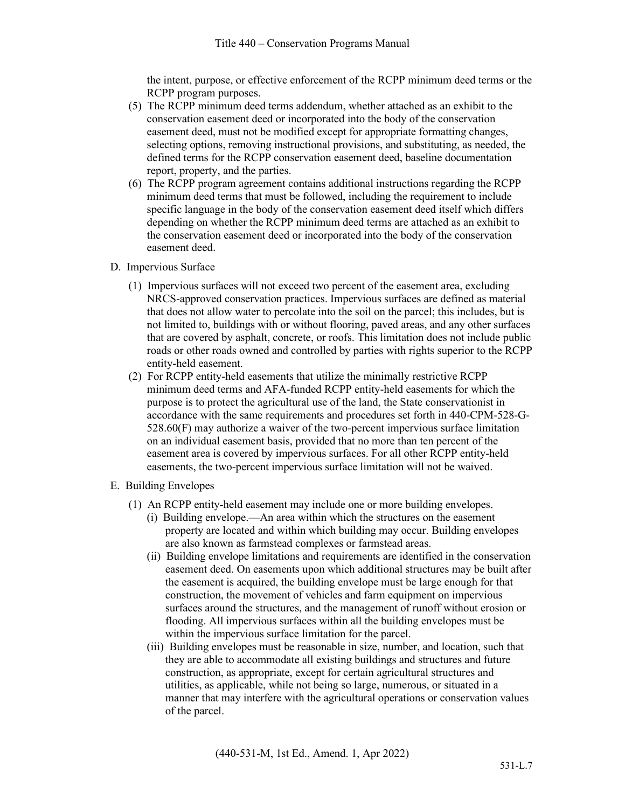the intent, purpose, or effective enforcement of the RCPP minimum deed terms or the RCPP program purposes.

- (5) The RCPP minimum deed terms addendum, whether attached as an exhibit to the conservation easement deed or incorporated into the body of the conservation easement deed, must not be modified except for appropriate formatting changes, selecting options, removing instructional provisions, and substituting, as needed, the defined terms for the RCPP conservation easement deed, baseline documentation report, property, and the parties.
- (6) The RCPP program agreement contains additional instructions regarding the RCPP minimum deed terms that must be followed, including the requirement to include specific language in the body of the conservation easement deed itself which differs depending on whether the RCPP minimum deed terms are attached as an exhibit to the conservation easement deed or incorporated into the body of the conservation easement deed.
- D. Impervious Surface
	- (1) Impervious surfaces will not exceed two percent of the easement area, excluding NRCS-approved conservation practices. Impervious surfaces are defined as material that does not allow water to percolate into the soil on the parcel; this includes, but is not limited to, buildings with or without flooring, paved areas, and any other surfaces that are covered by asphalt, concrete, or roofs. This limitation does not include public roads or other roads owned and controlled by parties with rights superior to the RCPP entity-held easement.
	- (2) For RCPP entity-held easements that utilize the minimally restrictive RCPP minimum deed terms and AFA-funded RCPP entity-held easements for which the purpose is to protect the agricultural use of the land, the State conservationist in accordance with the same requirements and procedures set forth in 440-CPM-528-G-528.60(F) may authorize a waiver of the two-percent impervious surface limitation on an individual easement basis, provided that no more than ten percent of the easement area is covered by impervious surfaces. For all other RCPP entity-held easements, the two-percent impervious surface limitation will not be waived.
- E. Building Envelopes
	- (1) An RCPP entity-held easement may include one or more building envelopes.
		- (i) Building envelope.—An area within which the structures on the easement property are located and within which building may occur. Building envelopes are also known as farmstead complexes or farmstead areas.
		- (ii) Building envelope limitations and requirements are identified in the conservation easement deed. On easements upon which additional structures may be built after the easement is acquired, the building envelope must be large enough for that construction, the movement of vehicles and farm equipment on impervious surfaces around the structures, and the management of runoff without erosion or flooding. All impervious surfaces within all the building envelopes must be within the impervious surface limitation for the parcel.
		- (iii) Building envelopes must be reasonable in size, number, and location, such that they are able to accommodate all existing buildings and structures and future construction, as appropriate, except for certain agricultural structures and utilities, as applicable, while not being so large, numerous, or situated in a manner that may interfere with the agricultural operations or conservation values of the parcel.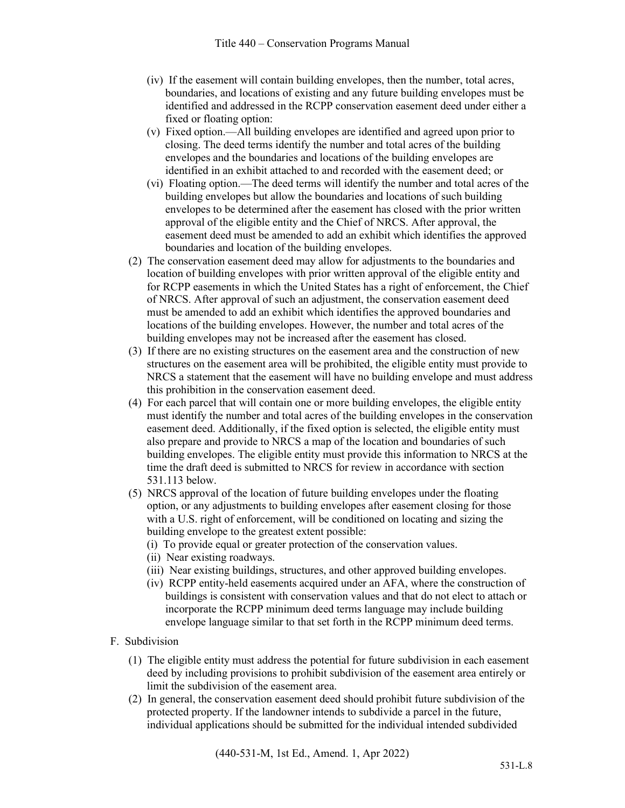- (iv) If the easement will contain building envelopes, then the number, total acres, boundaries, and locations of existing and any future building envelopes must be identified and addressed in the RCPP conservation easement deed under either a fixed or floating option:
- (v) Fixed option.—All building envelopes are identified and agreed upon prior to closing. The deed terms identify the number and total acres of the building envelopes and the boundaries and locations of the building envelopes are identified in an exhibit attached to and recorded with the easement deed; or
- (vi) Floating option.—The deed terms will identify the number and total acres of the building envelopes but allow the boundaries and locations of such building envelopes to be determined after the easement has closed with the prior written approval of the eligible entity and the Chief of NRCS. After approval, the easement deed must be amended to add an exhibit which identifies the approved boundaries and location of the building envelopes.
- (2) The conservation easement deed may allow for adjustments to the boundaries and location of building envelopes with prior written approval of the eligible entity and for RCPP easements in which the United States has a right of enforcement, the Chief of NRCS. After approval of such an adjustment, the conservation easement deed must be amended to add an exhibit which identifies the approved boundaries and locations of the building envelopes. However, the number and total acres of the building envelopes may not be increased after the easement has closed.
- (3) If there are no existing structures on the easement area and the construction of new structures on the easement area will be prohibited, the eligible entity must provide to NRCS a statement that the easement will have no building envelope and must address this prohibition in the conservation easement deed.
- (4) For each parcel that will contain one or more building envelopes, the eligible entity must identify the number and total acres of the building envelopes in the conservation easement deed. Additionally, if the fixed option is selected, the eligible entity must also prepare and provide to NRCS a map of the location and boundaries of such building envelopes. The eligible entity must provide this information to NRCS at the time the draft deed is submitted to NRCS for review in accordance with section 531.113 below.
- (5) NRCS approval of the location of future building envelopes under the floating option, or any adjustments to building envelopes after easement closing for those with a U.S. right of enforcement, will be conditioned on locating and sizing the building envelope to the greatest extent possible:
	- (i) To provide equal or greater protection of the conservation values.
	- (ii) Near existing roadways.
	- (iii) Near existing buildings, structures, and other approved building envelopes.
	- (iv) RCPP entity-held easements acquired under an AFA, where the construction of buildings is consistent with conservation values and that do not elect to attach or incorporate the RCPP minimum deed terms language may include building envelope language similar to that set forth in the RCPP minimum deed terms.
- F. Subdivision
	- (1) The eligible entity must address the potential for future subdivision in each easement deed by including provisions to prohibit subdivision of the easement area entirely or limit the subdivision of the easement area.
	- (2) In general, the conservation easement deed should prohibit future subdivision of the protected property. If the landowner intends to subdivide a parcel in the future, individual applications should be submitted for the individual intended subdivided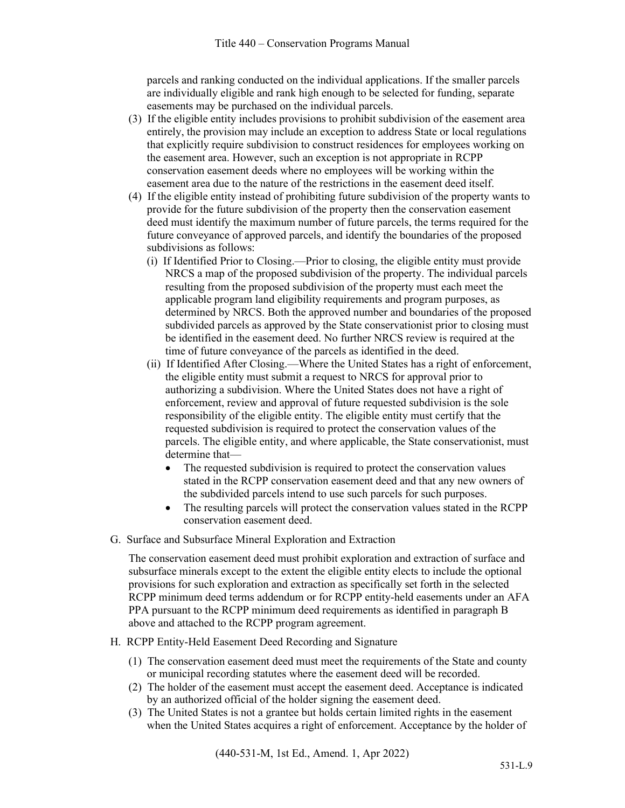parcels and ranking conducted on the individual applications. If the smaller parcels are individually eligible and rank high enough to be selected for funding, separate easements may be purchased on the individual parcels.

- (3) If the eligible entity includes provisions to prohibit subdivision of the easement area entirely, the provision may include an exception to address State or local regulations that explicitly require subdivision to construct residences for employees working on the easement area. However, such an exception is not appropriate in RCPP conservation easement deeds where no employees will be working within the easement area due to the nature of the restrictions in the easement deed itself.
- (4) If the eligible entity instead of prohibiting future subdivision of the property wants to provide for the future subdivision of the property then the conservation easement deed must identify the maximum number of future parcels, the terms required for the future conveyance of approved parcels, and identify the boundaries of the proposed subdivisions as follows:
	- (i) If Identified Prior to Closing.—Prior to closing, the eligible entity must provide NRCS a map of the proposed subdivision of the property. The individual parcels resulting from the proposed subdivision of the property must each meet the applicable program land eligibility requirements and program purposes, as determined by NRCS. Both the approved number and boundaries of the proposed subdivided parcels as approved by the State conservationist prior to closing must be identified in the easement deed. No further NRCS review is required at the time of future conveyance of the parcels as identified in the deed.
	- (ii) If Identified After Closing.—Where the United States has a right of enforcement, the eligible entity must submit a request to NRCS for approval prior to authorizing a subdivision. Where the United States does not have a right of enforcement, review and approval of future requested subdivision is the sole responsibility of the eligible entity. The eligible entity must certify that the requested subdivision is required to protect the conservation values of the parcels. The eligible entity, and where applicable, the State conservationist, must determine that—
		- The requested subdivision is required to protect the conservation values stated in the RCPP conservation easement deed and that any new owners of the subdivided parcels intend to use such parcels for such purposes.
		- The resulting parcels will protect the conservation values stated in the RCPP conservation easement deed.
- G. Surface and Subsurface Mineral Exploration and Extraction

The conservation easement deed must prohibit exploration and extraction of surface and subsurface minerals except to the extent the eligible entity elects to include the optional provisions for such exploration and extraction as specifically set forth in the selected RCPP minimum deed terms addendum or for RCPP entity-held easements under an AFA PPA pursuant to the RCPP minimum deed requirements as identified in paragraph B above and attached to the RCPP program agreement.

- H. RCPP Entity-Held Easement Deed Recording and Signature
	- (1) The conservation easement deed must meet the requirements of the State and county or municipal recording statutes where the easement deed will be recorded.
	- (2) The holder of the easement must accept the easement deed. Acceptance is indicated by an authorized official of the holder signing the easement deed.
	- (3) The United States is not a grantee but holds certain limited rights in the easement when the United States acquires a right of enforcement. Acceptance by the holder of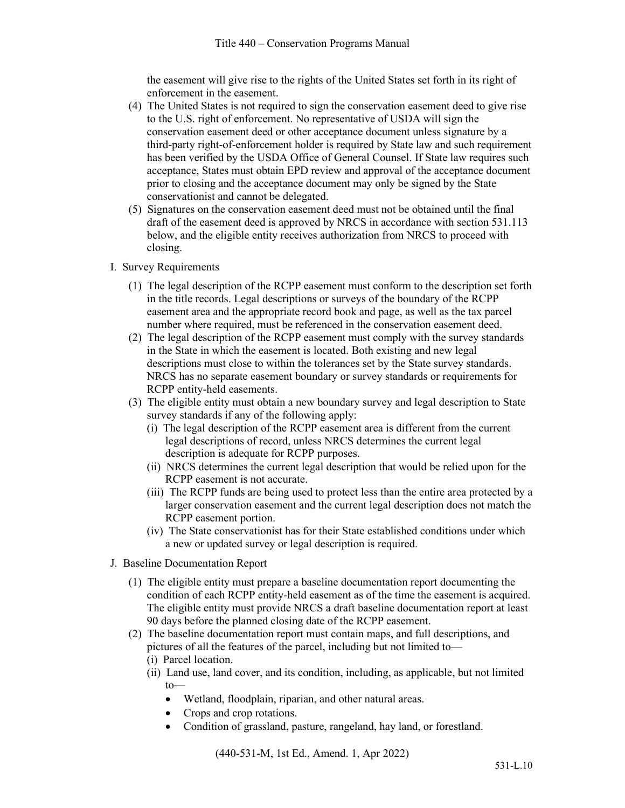the easement will give rise to the rights of the United States set forth in its right of enforcement in the easement.

- (4) The United States is not required to sign the conservation easement deed to give rise to the U.S. right of enforcement. No representative of USDA will sign the conservation easement deed or other acceptance document unless signature by a third-party right-of-enforcement holder is required by State law and such requirement has been verified by the USDA Office of General Counsel. If State law requires such acceptance, States must obtain EPD review and approval of the acceptance document prior to closing and the acceptance document may only be signed by the State conservationist and cannot be delegated.
- (5) Signatures on the conservation easement deed must not be obtained until the final draft of the easement deed is approved by NRCS in accordance with section 531.113 below, and the eligible entity receives authorization from NRCS to proceed with closing.
- I. Survey Requirements
	- (1) The legal description of the RCPP easement must conform to the description set forth in the title records. Legal descriptions or surveys of the boundary of the RCPP easement area and the appropriate record book and page, as well as the tax parcel number where required, must be referenced in the conservation easement deed.
	- (2) The legal description of the RCPP easement must comply with the survey standards in the State in which the easement is located. Both existing and new legal descriptions must close to within the tolerances set by the State survey standards. NRCS has no separate easement boundary or survey standards or requirements for RCPP entity-held easements.
	- (3) The eligible entity must obtain a new boundary survey and legal description to State survey standards if any of the following apply:
		- (i) The legal description of the RCPP easement area is different from the current legal descriptions of record, unless NRCS determines the current legal description is adequate for RCPP purposes.
		- (ii) NRCS determines the current legal description that would be relied upon for the RCPP easement is not accurate.
		- (iii) The RCPP funds are being used to protect less than the entire area protected by a larger conservation easement and the current legal description does not match the RCPP easement portion.
		- (iv) The State conservationist has for their State established conditions under which a new or updated survey or legal description is required.
- J. Baseline Documentation Report
	- (1) The eligible entity must prepare a baseline documentation report documenting the condition of each RCPP entity-held easement as of the time the easement is acquired. The eligible entity must provide NRCS a draft baseline documentation report at least 90 days before the planned closing date of the RCPP easement.
	- (2) The baseline documentation report must contain maps, and full descriptions, and pictures of all the features of the parcel, including but not limited to—
		- (i) Parcel location.
		- (ii) Land use, land cover, and its condition, including, as applicable, but not limited to—
			- Wetland, floodplain, riparian, and other natural areas.
			- Crops and crop rotations.
			- Condition of grassland, pasture, rangeland, hay land, or forestland.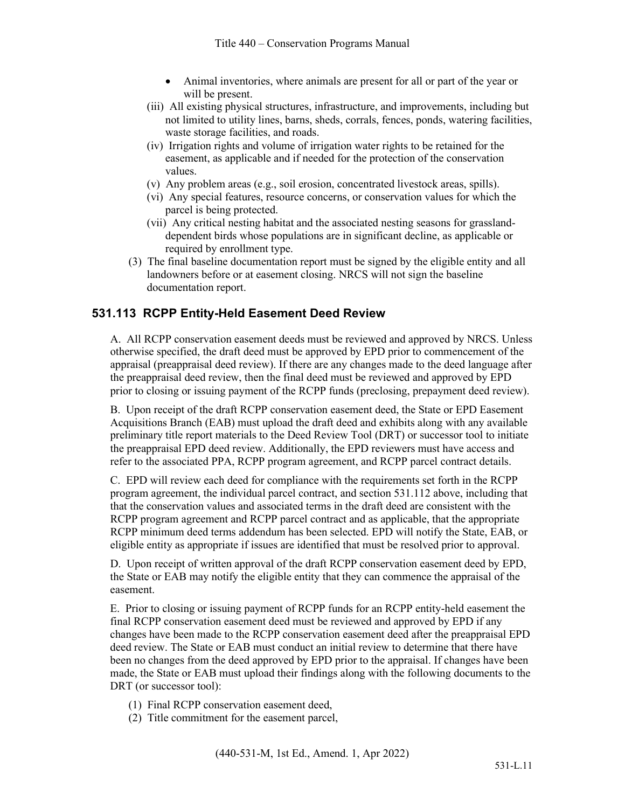- Animal inventories, where animals are present for all or part of the year or will be present.
- (iii) All existing physical structures, infrastructure, and improvements, including but not limited to utility lines, barns, sheds, corrals, fences, ponds, watering facilities, waste storage facilities, and roads.
- (iv) Irrigation rights and volume of irrigation water rights to be retained for the easement, as applicable and if needed for the protection of the conservation values.
- (v) Any problem areas (e.g., soil erosion, concentrated livestock areas, spills).
- (vi) Any special features, resource concerns, or conservation values for which the parcel is being protected.
- (vii) Any critical nesting habitat and the associated nesting seasons for grasslanddependent birds whose populations are in significant decline, as applicable or required by enrollment type.
- (3) The final baseline documentation report must be signed by the eligible entity and all landowners before or at easement closing. NRCS will not sign the baseline documentation report.

# **531.113 RCPP Entity-Held Easement Deed Review**

A. All RCPP conservation easement deeds must be reviewed and approved by NRCS. Unless otherwise specified, the draft deed must be approved by EPD prior to commencement of the appraisal (preappraisal deed review). If there are any changes made to the deed language after the preappraisal deed review, then the final deed must be reviewed and approved by EPD prior to closing or issuing payment of the RCPP funds (preclosing, prepayment deed review).

B. Upon receipt of the draft RCPP conservation easement deed, the State or EPD Easement Acquisitions Branch (EAB) must upload the draft deed and exhibits along with any available preliminary title report materials to the Deed Review Tool (DRT) or successor tool to initiate the preappraisal EPD deed review. Additionally, the EPD reviewers must have access and refer to the associated PPA, RCPP program agreement, and RCPP parcel contract details.

C. EPD will review each deed for compliance with the requirements set forth in the RCPP program agreement, the individual parcel contract, and section 531.112 above, including that that the conservation values and associated terms in the draft deed are consistent with the RCPP program agreement and RCPP parcel contract and as applicable, that the appropriate RCPP minimum deed terms addendum has been selected. EPD will notify the State, EAB, or eligible entity as appropriate if issues are identified that must be resolved prior to approval.

D. Upon receipt of written approval of the draft RCPP conservation easement deed by EPD, the State or EAB may notify the eligible entity that they can commence the appraisal of the easement.

E. Prior to closing or issuing payment of RCPP funds for an RCPP entity-held easement the final RCPP conservation easement deed must be reviewed and approved by EPD if any changes have been made to the RCPP conservation easement deed after the preappraisal EPD deed review. The State or EAB must conduct an initial review to determine that there have been no changes from the deed approved by EPD prior to the appraisal. If changes have been made, the State or EAB must upload their findings along with the following documents to the DRT (or successor tool):

- (1) Final RCPP conservation easement deed,
- (2) Title commitment for the easement parcel,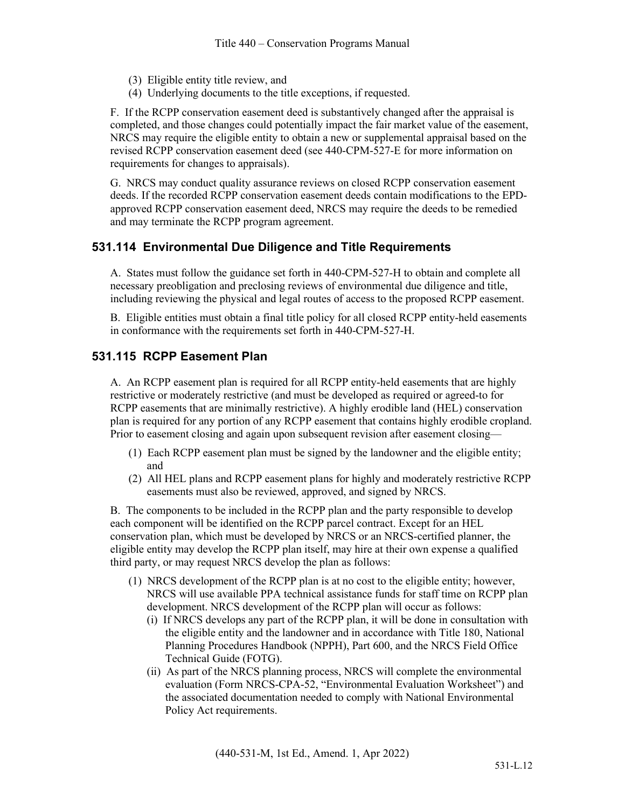- (3) Eligible entity title review, and
- (4) Underlying documents to the title exceptions, if requested.

F. If the RCPP conservation easement deed is substantively changed after the appraisal is completed, and those changes could potentially impact the fair market value of the easement, NRCS may require the eligible entity to obtain a new or supplemental appraisal based on the revised RCPP conservation easement deed (see 440-CPM-527-E for more information on requirements for changes to appraisals).

G. NRCS may conduct quality assurance reviews on closed RCPP conservation easement deeds. If the recorded RCPP conservation easement deeds contain modifications to the EPDapproved RCPP conservation easement deed, NRCS may require the deeds to be remedied and may terminate the RCPP program agreement.

#### **531.114 Environmental Due Diligence and Title Requirements**

A. States must follow the guidance set forth in 440-CPM-527-H to obtain and complete all necessary preobligation and preclosing reviews of environmental due diligence and title, including reviewing the physical and legal routes of access to the proposed RCPP easement.

B. Eligible entities must obtain a final title policy for all closed RCPP entity-held easements in conformance with the requirements set forth in 440-CPM-527-H.

#### **531.115 RCPP Easement Plan**

A. An RCPP easement plan is required for all RCPP entity-held easements that are highly restrictive or moderately restrictive (and must be developed as required or agreed-to for RCPP easements that are minimally restrictive). A highly erodible land (HEL) conservation plan is required for any portion of any RCPP easement that contains highly erodible cropland. Prior to easement closing and again upon subsequent revision after easement closing—

- (1) Each RCPP easement plan must be signed by the landowner and the eligible entity; and
- (2) All HEL plans and RCPP easement plans for highly and moderately restrictive RCPP easements must also be reviewed, approved, and signed by NRCS.

B. The components to be included in the RCPP plan and the party responsible to develop each component will be identified on the RCPP parcel contract. Except for an HEL conservation plan, which must be developed by NRCS or an NRCS-certified planner, the eligible entity may develop the RCPP plan itself, may hire at their own expense a qualified third party, or may request NRCS develop the plan as follows:

- (1) NRCS development of the RCPP plan is at no cost to the eligible entity; however, NRCS will use available PPA technical assistance funds for staff time on RCPP plan development. NRCS development of the RCPP plan will occur as follows:
	- (i) If NRCS develops any part of the RCPP plan, it will be done in consultation with the eligible entity and the landowner and in accordance with Title 180, National Planning Procedures Handbook (NPPH), Part 600, and the NRCS Field Office Technical Guide (FOTG).
	- (ii) As part of the NRCS planning process, NRCS will complete the environmental evaluation (Form NRCS-CPA-52, "Environmental Evaluation Worksheet") and the associated documentation needed to comply with National Environmental Policy Act requirements.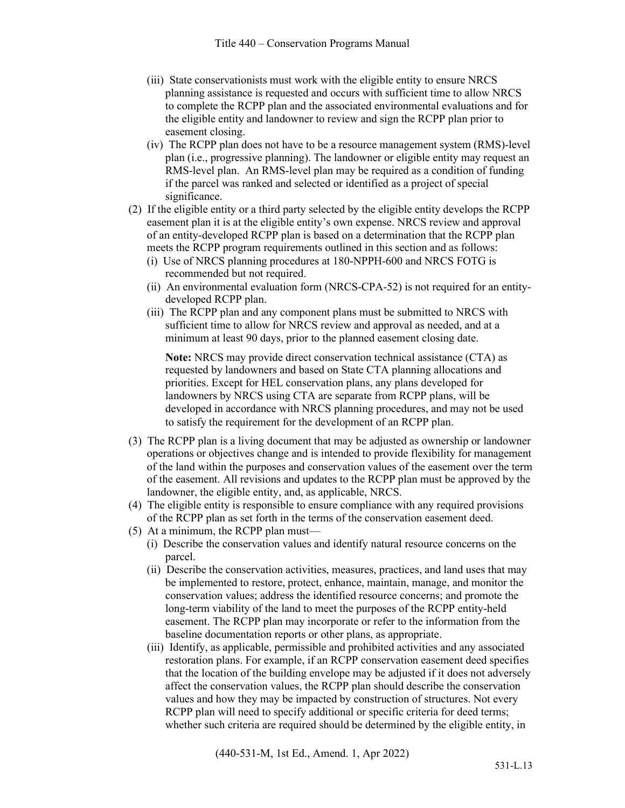- (iii) State conservationists must work with the eligible entity to ensure NRCS planning assistance is requested and occurs with sufficient time to allow NRCS to complete the RCPP plan and the associated environmental evaluations and for the eligible entity and landowner to review and sign the RCPP plan prior to easement closing.
- (iv) The RCPP plan does not have to be a resource management system (RMS)-level plan (i.e., progressive planning). The landowner or eligible entity may request an RMS-level plan. An RMS-level plan may be required as a condition of funding if the parcel was ranked and selected or identified as a project of special significance.
- (2) If the eligible entity or a third party selected by the eligible entity develops the RCPP easement plan it is at the eligible entity's own expense. NRCS review and approval of an entity-developed RCPP plan is based on a determination that the RCPP plan meets the RCPP program requirements outlined in this section and as follows:
	- (i) Use of NRCS planning procedures at 180-NPPH-600 and NRCS FOTG is recommended but not required.
	- (ii) An environmental evaluation form (NRCS-CPA-52) is not required for an entitydeveloped RCPP plan.
	- (iii) The RCPP plan and any component plans must be submitted to NRCS with sufficient time to allow for NRCS review and approval as needed, and at a minimum at least 90 days, prior to the planned easement closing date.

**Note:** NRCS may provide direct conservation technical assistance (CTA) as requested by landowners and based on State CTA planning allocations and priorities. Except for HEL conservation plans, any plans developed for landowners by NRCS using CTA are separate from RCPP plans, will be developed in accordance with NRCS planning procedures, and may not be used to satisfy the requirement for the development of an RCPP plan.

- (3) The RCPP plan is a living document that may be adjusted as ownership or landowner operations or objectives change and is intended to provide flexibility for management of the land within the purposes and conservation values of the easement over the term of the easement. All revisions and updates to the RCPP plan must be approved by the landowner, the eligible entity, and, as applicable, NRCS.
- (4) The eligible entity is responsible to ensure compliance with any required provisions of the RCPP plan as set forth in the terms of the conservation easement deed.
- (5) At a minimum, the RCPP plan must—
	- (i) Describe the conservation values and identify natural resource concerns on the parcel.
	- (ii) Describe the conservation activities, measures, practices, and land uses that may be implemented to restore, protect, enhance, maintain, manage, and monitor the conservation values; address the identified resource concerns; and promote the long-term viability of the land to meet the purposes of the RCPP entity-held easement. The RCPP plan may incorporate or refer to the information from the baseline documentation reports or other plans, as appropriate.
	- (iii) Identify, as applicable, permissible and prohibited activities and any associated restoration plans. For example, if an RCPP conservation easement deed specifies that the location of the building envelope may be adjusted if it does not adversely affect the conservation values, the RCPP plan should describe the conservation values and how they may be impacted by construction of structures. Not every RCPP plan will need to specify additional or specific criteria for deed terms; whether such criteria are required should be determined by the eligible entity, in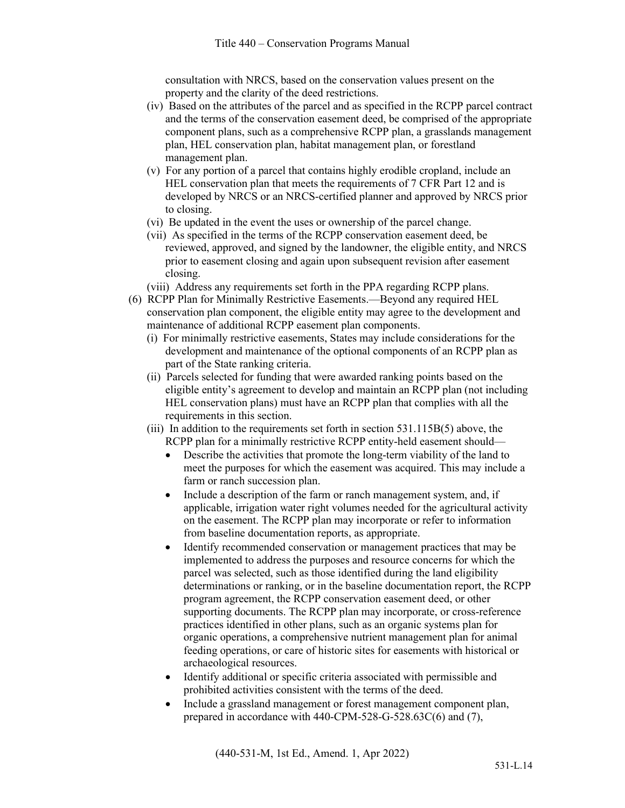consultation with NRCS, based on the conservation values present on the property and the clarity of the deed restrictions.

- (iv) Based on the attributes of the parcel and as specified in the RCPP parcel contract and the terms of the conservation easement deed, be comprised of the appropriate component plans, such as a comprehensive RCPP plan, a grasslands management plan, HEL conservation plan, habitat management plan, or forestland management plan.
- (v) For any portion of a parcel that contains highly erodible cropland, include an HEL conservation plan that meets the requirements of 7 CFR Part 12 and is developed by NRCS or an NRCS-certified planner and approved by NRCS prior to closing.
- (vi) Be updated in the event the uses or ownership of the parcel change.
- (vii) As specified in the terms of the RCPP conservation easement deed, be reviewed, approved, and signed by the landowner, the eligible entity, and NRCS prior to easement closing and again upon subsequent revision after easement closing.
- (viii) Address any requirements set forth in the PPA regarding RCPP plans.
- (6) RCPP Plan for Minimally Restrictive Easements.—Beyond any required HEL conservation plan component, the eligible entity may agree to the development and maintenance of additional RCPP easement plan components.
	- (i) For minimally restrictive easements, States may include considerations for the development and maintenance of the optional components of an RCPP plan as part of the State ranking criteria.
	- (ii) Parcels selected for funding that were awarded ranking points based on the eligible entity's agreement to develop and maintain an RCPP plan (not including HEL conservation plans) must have an RCPP plan that complies with all the requirements in this section.
	- (iii) In addition to the requirements set forth in section 531.115B(5) above, the RCPP plan for a minimally restrictive RCPP entity-held easement should—
		- Describe the activities that promote the long-term viability of the land to meet the purposes for which the easement was acquired. This may include a farm or ranch succession plan.
		- Include a description of the farm or ranch management system, and, if applicable, irrigation water right volumes needed for the agricultural activity on the easement. The RCPP plan may incorporate or refer to information from baseline documentation reports, as appropriate.
		- Identify recommended conservation or management practices that may be implemented to address the purposes and resource concerns for which the parcel was selected, such as those identified during the land eligibility determinations or ranking, or in the baseline documentation report, the RCPP program agreement, the RCPP conservation easement deed, or other supporting documents. The RCPP plan may incorporate, or cross-reference practices identified in other plans, such as an organic systems plan for organic operations, a comprehensive nutrient management plan for animal feeding operations, or care of historic sites for easements with historical or archaeological resources.
		- Identify additional or specific criteria associated with permissible and prohibited activities consistent with the terms of the deed.
		- Include a grassland management or forest management component plan, prepared in accordance with 440-CPM-528-G-528.63C(6) and (7),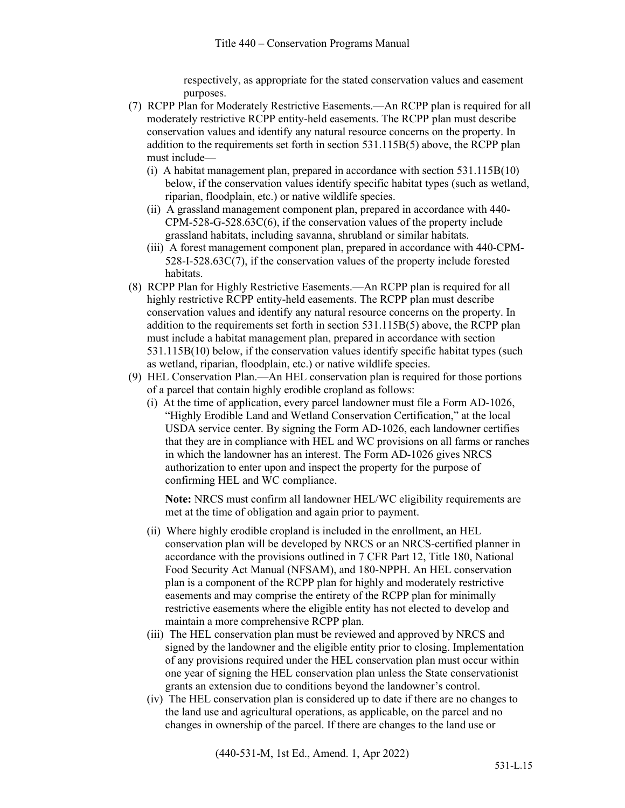respectively, as appropriate for the stated conservation values and easement purposes.

- (7) RCPP Plan for Moderately Restrictive Easements.—An RCPP plan is required for all moderately restrictive RCPP entity-held easements. The RCPP plan must describe conservation values and identify any natural resource concerns on the property. In addition to the requirements set forth in section 531.115B(5) above, the RCPP plan must include—
	- (i) A habitat management plan, prepared in accordance with section 531.115B(10) below, if the conservation values identify specific habitat types (such as wetland, riparian, floodplain, etc.) or native wildlife species.
	- (ii) A grassland management component plan, prepared in accordance with 440- CPM-528-G-528.63C(6), if the conservation values of the property include grassland habitats, including savanna, shrubland or similar habitats.
	- (iii) A forest management component plan, prepared in accordance with 440-CPM-528-I-528.63C(7), if the conservation values of the property include forested habitats.
- (8) RCPP Plan for Highly Restrictive Easements.—An RCPP plan is required for all highly restrictive RCPP entity-held easements. The RCPP plan must describe conservation values and identify any natural resource concerns on the property. In addition to the requirements set forth in section 531.115B(5) above, the RCPP plan must include a habitat management plan, prepared in accordance with section 531.115B(10) below, if the conservation values identify specific habitat types (such as wetland, riparian, floodplain, etc.) or native wildlife species.
- (9) HEL Conservation Plan.—An HEL conservation plan is required for those portions of a parcel that contain highly erodible cropland as follows:
	- (i) At the time of application, every parcel landowner must file a Form AD-1026, "Highly Erodible Land and Wetland Conservation Certification," at the local USDA service center. By signing the Form AD-1026, each landowner certifies that they are in compliance with HEL and WC provisions on all farms or ranches in which the landowner has an interest. The Form AD-1026 gives NRCS authorization to enter upon and inspect the property for the purpose of confirming HEL and WC compliance.

**Note:** NRCS must confirm all landowner HEL/WC eligibility requirements are met at the time of obligation and again prior to payment.

- (ii) Where highly erodible cropland is included in the enrollment, an HEL conservation plan will be developed by NRCS or an NRCS-certified planner in accordance with the provisions outlined in 7 CFR Part 12, Title 180, National Food Security Act Manual (NFSAM), and 180-NPPH. An HEL conservation plan is a component of the RCPP plan for highly and moderately restrictive easements and may comprise the entirety of the RCPP plan for minimally restrictive easements where the eligible entity has not elected to develop and maintain a more comprehensive RCPP plan.
- (iii) The HEL conservation plan must be reviewed and approved by NRCS and signed by the landowner and the eligible entity prior to closing. Implementation of any provisions required under the HEL conservation plan must occur within one year of signing the HEL conservation plan unless the State conservationist grants an extension due to conditions beyond the landowner's control.
- (iv) The HEL conservation plan is considered up to date if there are no changes to the land use and agricultural operations, as applicable, on the parcel and no changes in ownership of the parcel. If there are changes to the land use or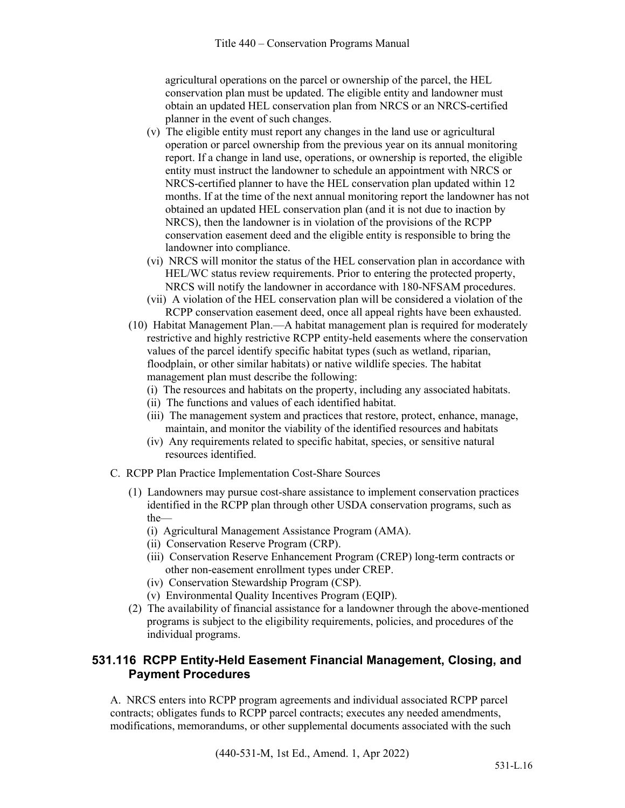agricultural operations on the parcel or ownership of the parcel, the HEL conservation plan must be updated. The eligible entity and landowner must obtain an updated HEL conservation plan from NRCS or an NRCS-certified planner in the event of such changes.

- (v) The eligible entity must report any changes in the land use or agricultural operation or parcel ownership from the previous year on its annual monitoring report. If a change in land use, operations, or ownership is reported, the eligible entity must instruct the landowner to schedule an appointment with NRCS or NRCS-certified planner to have the HEL conservation plan updated within 12 months. If at the time of the next annual monitoring report the landowner has not obtained an updated HEL conservation plan (and it is not due to inaction by NRCS), then the landowner is in violation of the provisions of the RCPP conservation easement deed and the eligible entity is responsible to bring the landowner into compliance.
- (vi) NRCS will monitor the status of the HEL conservation plan in accordance with HEL/WC status review requirements. Prior to entering the protected property, NRCS will notify the landowner in accordance with 180-NFSAM procedures.
- (vii) A violation of the HEL conservation plan will be considered a violation of the RCPP conservation easement deed, once all appeal rights have been exhausted.
- (10) Habitat Management Plan.—A habitat management plan is required for moderately restrictive and highly restrictive RCPP entity-held easements where the conservation values of the parcel identify specific habitat types (such as wetland, riparian, floodplain, or other similar habitats) or native wildlife species. The habitat management plan must describe the following:
	- (i) The resources and habitats on the property, including any associated habitats.
	- (ii) The functions and values of each identified habitat.
	- (iii) The management system and practices that restore, protect, enhance, manage, maintain, and monitor the viability of the identified resources and habitats
	- (iv) Any requirements related to specific habitat, species, or sensitive natural resources identified.
- C. RCPP Plan Practice Implementation Cost-Share Sources
	- (1) Landowners may pursue cost-share assistance to implement conservation practices identified in the RCPP plan through other USDA conservation programs, such as the—
		- (i) Agricultural Management Assistance Program (AMA).
		- (ii) Conservation Reserve Program (CRP).
		- (iii) Conservation Reserve Enhancement Program (CREP) long-term contracts or other non-easement enrollment types under CREP.
		- (iv) Conservation Stewardship Program (CSP).
		- (v) Environmental Quality Incentives Program (EQIP).
	- (2) The availability of financial assistance for a landowner through the above-mentioned programs is subject to the eligibility requirements, policies, and procedures of the individual programs.

# **531.116 RCPP Entity-Held Easement Financial Management, Closing, and Payment Procedures**

A. NRCS enters into RCPP program agreements and individual associated RCPP parcel contracts; obligates funds to RCPP parcel contracts; executes any needed amendments, modifications, memorandums, or other supplemental documents associated with the such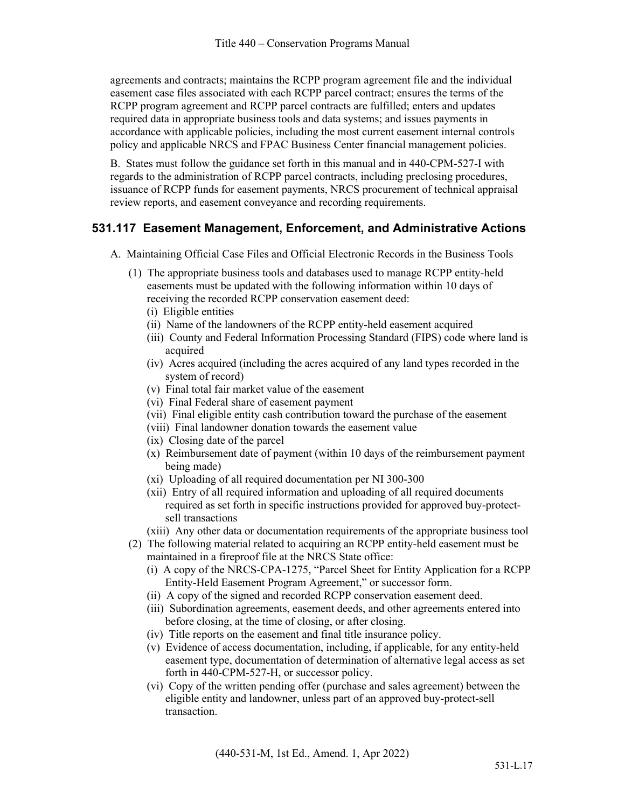agreements and contracts; maintains the RCPP program agreement file and the individual easement case files associated with each RCPP parcel contract; ensures the terms of the RCPP program agreement and RCPP parcel contracts are fulfilled; enters and updates required data in appropriate business tools and data systems; and issues payments in accordance with applicable policies, including the most current easement internal controls policy and applicable NRCS and FPAC Business Center financial management policies.

B. States must follow the guidance set forth in this manual and in 440-CPM-527-I with regards to the administration of RCPP parcel contracts, including preclosing procedures, issuance of RCPP funds for easement payments, NRCS procurement of technical appraisal review reports, and easement conveyance and recording requirements.

#### **531.117 Easement Management, Enforcement, and Administrative Actions**

- A. Maintaining Official Case Files and Official Electronic Records in the Business Tools
	- (1) The appropriate business tools and databases used to manage RCPP entity-held easements must be updated with the following information within 10 days of receiving the recorded RCPP conservation easement deed:
		- (i) Eligible entities
		- (ii) Name of the landowners of the RCPP entity-held easement acquired
		- (iii) County and Federal Information Processing Standard (FIPS) code where land is acquired
		- (iv) Acres acquired (including the acres acquired of any land types recorded in the system of record)
		- (v) Final total fair market value of the easement
		- (vi) Final Federal share of easement payment
		- (vii) Final eligible entity cash contribution toward the purchase of the easement
		- (viii) Final landowner donation towards the easement value
		- (ix) Closing date of the parcel
		- (x) Reimbursement date of payment (within 10 days of the reimbursement payment being made)
		- (xi) Uploading of all required documentation per NI 300-300
		- (xii) Entry of all required information and uploading of all required documents required as set forth in specific instructions provided for approved buy-protectsell transactions
		- (xiii) Any other data or documentation requirements of the appropriate business tool
	- (2) The following material related to acquiring an RCPP entity-held easement must be maintained in a fireproof file at the NRCS State office:
		- (i) A copy of the NRCS-CPA-1275, "Parcel Sheet for Entity Application for a RCPP Entity-Held Easement Program Agreement," or successor form.
		- (ii) A copy of the signed and recorded RCPP conservation easement deed.
		- (iii) Subordination agreements, easement deeds, and other agreements entered into before closing, at the time of closing, or after closing.
		- (iv) Title reports on the easement and final title insurance policy.
		- (v) Evidence of access documentation, including, if applicable, for any entity-held easement type, documentation of determination of alternative legal access as set forth in 440-CPM-527-H, or successor policy.
		- (vi) Copy of the written pending offer (purchase and sales agreement) between the eligible entity and landowner, unless part of an approved buy-protect-sell transaction.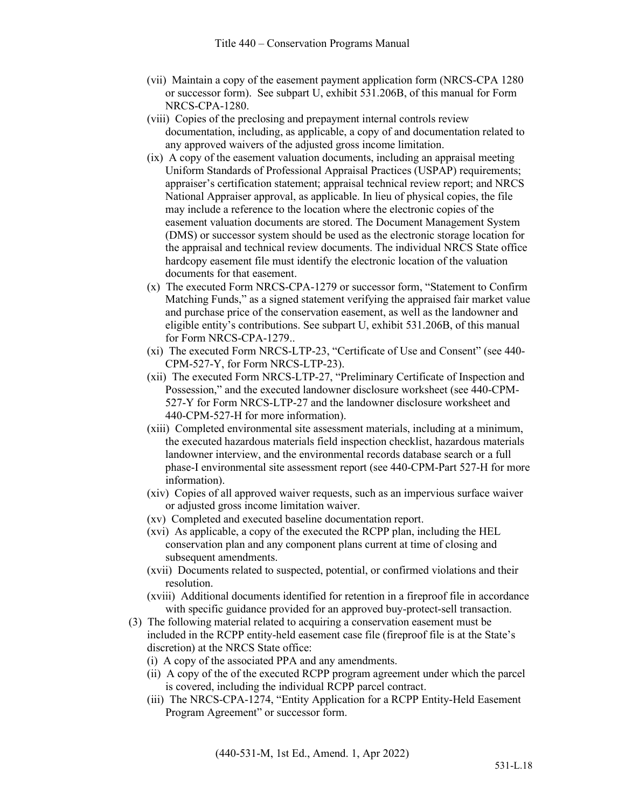- (vii) Maintain a copy of the easement payment application form (NRCS-CPA 1280 or successor form). See subpart U, exhibit 531.206B, of this manual for Form NRCS-CPA-1280.
- (viii) Copies of the preclosing and prepayment internal controls review documentation, including, as applicable, a copy of and documentation related to any approved waivers of the adjusted gross income limitation.
- (ix) A copy of the easement valuation documents, including an appraisal meeting Uniform Standards of Professional Appraisal Practices (USPAP) requirements; appraiser's certification statement; appraisal technical review report; and NRCS National Appraiser approval, as applicable. In lieu of physical copies, the file may include a reference to the location where the electronic copies of the easement valuation documents are stored. The Document Management System (DMS) or successor system should be used as the electronic storage location for the appraisal and technical review documents. The individual NRCS State office hardcopy easement file must identify the electronic location of the valuation documents for that easement.
- (x) The executed Form NRCS-CPA-1279 or successor form, "Statement to Confirm Matching Funds," as a signed statement verifying the appraised fair market value and purchase price of the conservation easement, as well as the landowner and eligible entity's contributions. See subpart U, exhibit 531.206B, of this manual for Form NRCS-CPA-1279..
- (xi) The executed Form NRCS-LTP-23, "Certificate of Use and Consent" (see 440- CPM-527-Y, for Form NRCS-LTP-23).
- (xii) The executed Form NRCS-LTP-27, "Preliminary Certificate of Inspection and Possession," and the executed landowner disclosure worksheet (see 440-CPM-527-Y for Form NRCS-LTP-27 and the landowner disclosure worksheet and 440-CPM-527-H for more information).
- (xiii) Completed environmental site assessment materials, including at a minimum, the executed hazardous materials field inspection checklist, hazardous materials landowner interview, and the environmental records database search or a full phase-I environmental site assessment report (see 440-CPM-Part 527-H for more information).
- (xiv) Copies of all approved waiver requests, such as an impervious surface waiver or adjusted gross income limitation waiver.
- (xv) Completed and executed baseline documentation report.
- (xvi) As applicable, a copy of the executed the RCPP plan, including the HEL conservation plan and any component plans current at time of closing and subsequent amendments.
- (xvii) Documents related to suspected, potential, or confirmed violations and their resolution.
- (xviii) Additional documents identified for retention in a fireproof file in accordance with specific guidance provided for an approved buy-protect-sell transaction.
- (3) The following material related to acquiring a conservation easement must be included in the RCPP entity-held easement case file (fireproof file is at the State's discretion) at the NRCS State office:
	- (i) A copy of the associated PPA and any amendments.
	- (ii) A copy of the of the executed RCPP program agreement under which the parcel is covered, including the individual RCPP parcel contract.
	- (iii) The NRCS-CPA-1274, "Entity Application for a RCPP Entity-Held Easement Program Agreement" or successor form.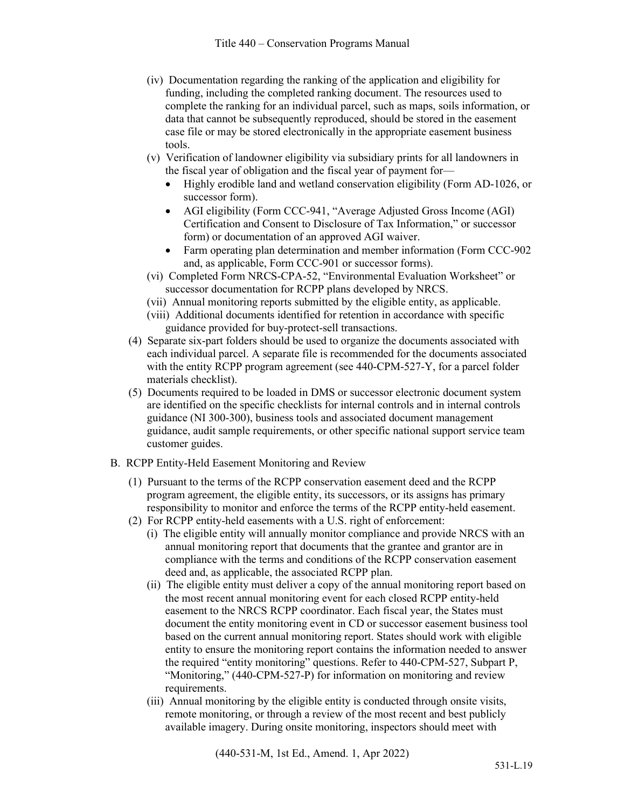- (iv) Documentation regarding the ranking of the application and eligibility for funding, including the completed ranking document. The resources used to complete the ranking for an individual parcel, such as maps, soils information, or data that cannot be subsequently reproduced, should be stored in the easement case file or may be stored electronically in the appropriate easement business tools.
- (v) Verification of landowner eligibility via subsidiary prints for all landowners in the fiscal year of obligation and the fiscal year of payment for—
	- Highly erodible land and wetland conservation eligibility (Form AD-1026, or successor form).
	- AGI eligibility (Form CCC-941, "Average Adjusted Gross Income (AGI) Certification and Consent to Disclosure of Tax Information," or successor form) or documentation of an approved AGI waiver.
	- Farm operating plan determination and member information (Form CCC-902 and, as applicable, Form CCC-901 or successor forms).
- (vi) Completed Form NRCS-CPA-52, "Environmental Evaluation Worksheet" or successor documentation for RCPP plans developed by NRCS.
- (vii) Annual monitoring reports submitted by the eligible entity, as applicable.
- (viii) Additional documents identified for retention in accordance with specific guidance provided for buy-protect-sell transactions.
- (4) Separate six-part folders should be used to organize the documents associated with each individual parcel. A separate file is recommended for the documents associated with the entity RCPP program agreement (see 440-CPM-527-Y, for a parcel folder materials checklist).
- (5) Documents required to be loaded in DMS or successor electronic document system are identified on the specific checklists for internal controls and in internal controls guidance (NI 300-300), business tools and associated document management guidance, audit sample requirements, or other specific national support service team customer guides.
- B. RCPP Entity-Held Easement Monitoring and Review
	- (1) Pursuant to the terms of the RCPP conservation easement deed and the RCPP program agreement, the eligible entity, its successors, or its assigns has primary responsibility to monitor and enforce the terms of the RCPP entity-held easement.
	- (2) For RCPP entity-held easements with a U.S. right of enforcement:
		- (i) The eligible entity will annually monitor compliance and provide NRCS with an annual monitoring report that documents that the grantee and grantor are in compliance with the terms and conditions of the RCPP conservation easement deed and, as applicable, the associated RCPP plan.
		- (ii) The eligible entity must deliver a copy of the annual monitoring report based on the most recent annual monitoring event for each closed RCPP entity-held easement to the NRCS RCPP coordinator. Each fiscal year, the States must document the entity monitoring event in CD or successor easement business tool based on the current annual monitoring report. States should work with eligible entity to ensure the monitoring report contains the information needed to answer the required "entity monitoring" questions. Refer to 440-CPM-527, Subpart P, "Monitoring," (440-CPM-527-P) for information on monitoring and review requirements.
		- (iii) Annual monitoring by the eligible entity is conducted through onsite visits, remote monitoring, or through a review of the most recent and best publicly available imagery. During onsite monitoring, inspectors should meet with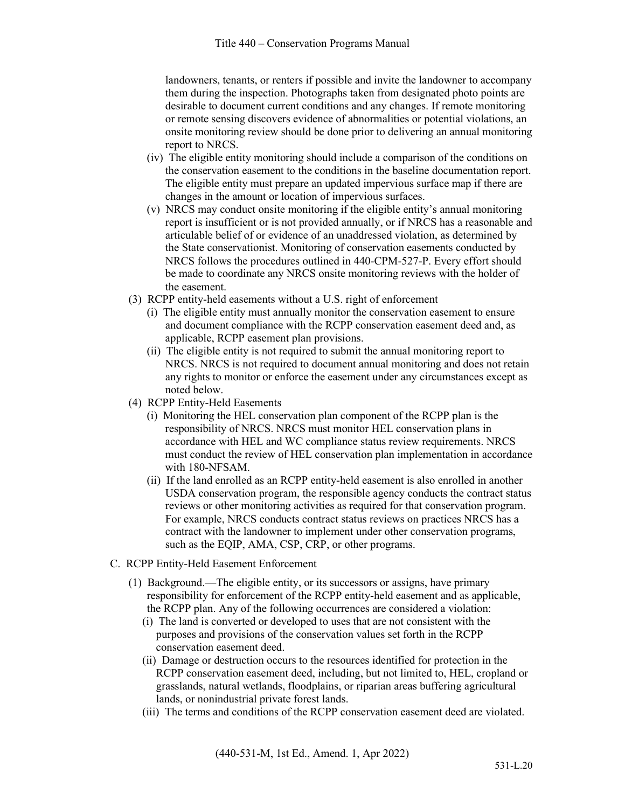landowners, tenants, or renters if possible and invite the landowner to accompany them during the inspection. Photographs taken from designated photo points are desirable to document current conditions and any changes. If remote monitoring or remote sensing discovers evidence of abnormalities or potential violations, an onsite monitoring review should be done prior to delivering an annual monitoring report to NRCS.

- (iv) The eligible entity monitoring should include a comparison of the conditions on the conservation easement to the conditions in the baseline documentation report. The eligible entity must prepare an updated impervious surface map if there are changes in the amount or location of impervious surfaces.
- (v) NRCS may conduct onsite monitoring if the eligible entity's annual monitoring report is insufficient or is not provided annually, or if NRCS has a reasonable and articulable belief of or evidence of an unaddressed violation, as determined by the State conservationist. Monitoring of conservation easements conducted by NRCS follows the procedures outlined in 440-CPM-527-P. Every effort should be made to coordinate any NRCS onsite monitoring reviews with the holder of the easement.
- (3) RCPP entity-held easements without a U.S. right of enforcement
	- (i) The eligible entity must annually monitor the conservation easement to ensure and document compliance with the RCPP conservation easement deed and, as applicable, RCPP easement plan provisions.
	- (ii) The eligible entity is not required to submit the annual monitoring report to NRCS. NRCS is not required to document annual monitoring and does not retain any rights to monitor or enforce the easement under any circumstances except as noted below.
- (4) RCPP Entity-Held Easements
	- (i) Monitoring the HEL conservation plan component of the RCPP plan is the responsibility of NRCS. NRCS must monitor HEL conservation plans in accordance with HEL and WC compliance status review requirements. NRCS must conduct the review of HEL conservation plan implementation in accordance with 180-NFSAM.
	- (ii) If the land enrolled as an RCPP entity-held easement is also enrolled in another USDA conservation program, the responsible agency conducts the contract status reviews or other monitoring activities as required for that conservation program. For example, NRCS conducts contract status reviews on practices NRCS has a contract with the landowner to implement under other conservation programs, such as the EQIP, AMA, CSP, CRP, or other programs.
- C. RCPP Entity-Held Easement Enforcement
	- (1) Background.—The eligible entity, or its successors or assigns, have primary responsibility for enforcement of the RCPP entity-held easement and as applicable, the RCPP plan. Any of the following occurrences are considered a violation:
		- (i) The land is converted or developed to uses that are not consistent with the purposes and provisions of the conservation values set forth in the RCPP conservation easement deed.
		- (ii) Damage or destruction occurs to the resources identified for protection in the RCPP conservation easement deed, including, but not limited to, HEL, cropland or grasslands, natural wetlands, floodplains, or riparian areas buffering agricultural lands, or nonindustrial private forest lands.
		- (iii) The terms and conditions of the RCPP conservation easement deed are violated.